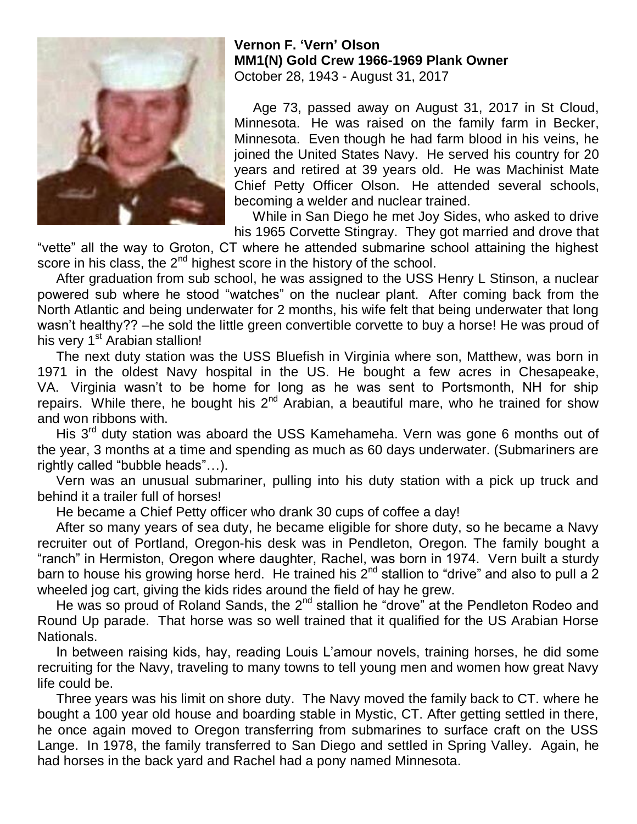

## **Vernon F. 'Vern' Olson MM1(N) Gold Crew 1966-1969 Plank Owner** October 28, 1943 - August 31, 2017

 Age 73, passed away on August 31, 2017 in St Cloud, Minnesota. He was raised on the family farm in Becker, Minnesota. Even though he had farm blood in his veins, he joined the United States Navy. He served his country for 20 years and retired at 39 years old. He was Machinist Mate Chief Petty Officer Olson. He attended several schools, becoming a welder and nuclear trained.

 While in San Diego he met Joy Sides, who asked to drive his 1965 Corvette Stingray. They got married and drove that

"vette" all the way to Groton, CT where he attended submarine school attaining the highest score in his class, the 2<sup>nd</sup> highest score in the history of the school.

 After graduation from sub school, he was assigned to the USS Henry L Stinson, a nuclear powered sub where he stood "watches" on the nuclear plant. After coming back from the North Atlantic and being underwater for 2 months, his wife felt that being underwater that long wasn't healthy?? –he sold the little green convertible corvette to buy a horse! He was proud of his very 1<sup>st</sup> Arabian stallion!

 The next duty station was the USS Bluefish in Virginia where son, Matthew, was born in 1971 in the oldest Navy hospital in the US. He bought a few acres in Chesapeake, VA. Virginia wasn't to be home for long as he was sent to Portsmonth, NH for ship repairs. While there, he bought his  $2^{nd}$  Arabian, a beautiful mare, who he trained for show and won ribbons with.

His 3<sup>rd</sup> duty station was aboard the USS Kamehameha. Vern was gone 6 months out of the year, 3 months at a time and spending as much as 60 days underwater. (Submariners are rightly called "bubble heads"…).

 Vern was an unusual submariner, pulling into his duty station with a pick up truck and behind it a trailer full of horses!

He became a Chief Petty officer who drank 30 cups of coffee a day!

 After so many years of sea duty, he became eligible for shore duty, so he became a Navy recruiter out of Portland, Oregon-his desk was in Pendleton, Oregon. The family bought a "ranch" in Hermiston, Oregon where daughter, Rachel, was born in 1974. Vern built a sturdy barn to house his growing horse herd. He trained his  $2^{nd}$  stallion to "drive" and also to pull a  $2$ wheeled jog cart, giving the kids rides around the field of hay he grew.

He was so proud of Roland Sands, the 2<sup>nd</sup> stallion he "drove" at the Pendleton Rodeo and Round Up parade. That horse was so well trained that it qualified for the US Arabian Horse Nationals.

 In between raising kids, hay, reading Louis L'amour novels, training horses, he did some recruiting for the Navy, traveling to many towns to tell young men and women how great Navy life could be.

 Three years was his limit on shore duty. The Navy moved the family back to CT. where he bought a 100 year old house and boarding stable in Mystic, CT. After getting settled in there, he once again moved to Oregon transferring from submarines to surface craft on the USS Lange. In 1978, the family transferred to San Diego and settled in Spring Valley. Again, he had horses in the back yard and Rachel had a pony named Minnesota.